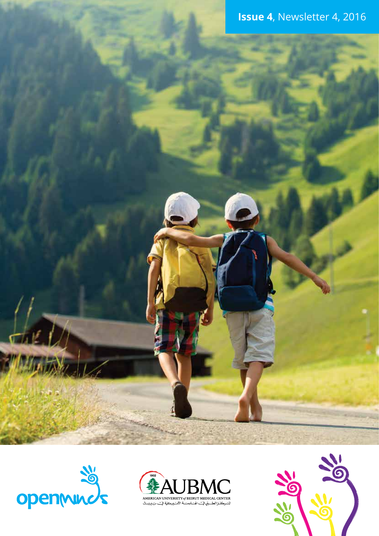



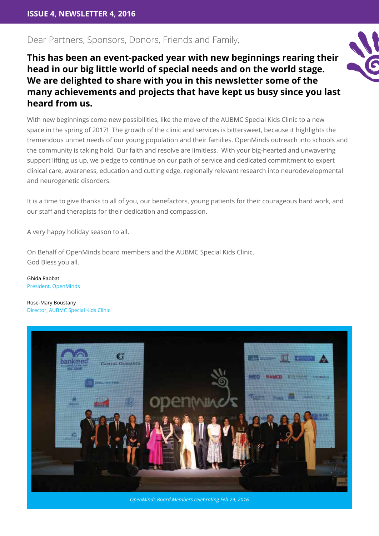### Dear Partners, Sponsors, Donors, Friends and Family,

**This has been an event-packed year with new beginnings rearing their head in our big little world of special needs and on the world stage. We are delighted to share with you in this newsletter some of the many achievements and projects that have kept us busy since you last heard from us.**

With new beginnings come new possibilities, like the move of the AUBMC Special Kids Clinic to a new space in the spring of 2017! The growth of the clinic and services is bittersweet, because it highlights the tremendous unmet needs of our young population and their families. OpenMinds outreach into schools and the community is taking hold. Our faith and resolve are limitless. With your big-hearted and unwavering support lifting us up, we pledge to continue on our path of service and dedicated commitment to expert clinical care, awareness, education and cutting edge, regionally relevant research into neurodevelopmental and neurogenetic disorders.

It is a time to give thanks to all of you, our benefactors, young patients for their courageous hard work, and our staff and therapists for their dedication and compassion.

A very happy holiday season to all.

On Behalf of OpenMinds board members and the AUBMC Special Kids Clinic, God Bless you all.

Ghida Rabbat President, OpenMinds

Rose-Mary Boustany Director, AUBMC Special Kids Clinic



*OpenMinds Board Members celebrating Feb 29, 2016*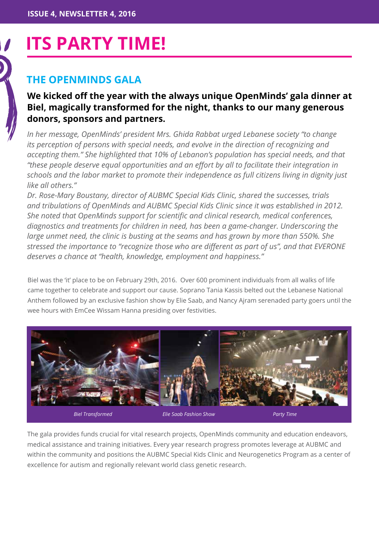# **Its Party time!**

# **The OpenMinds Gala**

# **We kicked off the year with the always unique OpenMinds' gala dinner at Biel, magically transformed for the night, thanks to our many generous donors, sponsors and partners.**

*In her message, OpenMinds' president Mrs. Ghida Rabbat urged Lebanese society "to change its perception of persons with special needs, and evolve in the direction of recognizing and accepting them." She highlighted that 10% of Lebanon's population has special needs, and that "these people deserve equal opportunities and an effort by all to facilitate their integration in schools and the labor market to promote their independence as full citizens living in dignity just like all others."*

*Dr. Rose-Mary Boustany, director of AUBMC Special Kids Clinic, shared the successes, trials and tribulations of OpenMinds and AUBMC Special Kids Clinic since it was established in 2012. She noted that OpenMinds support for scientific and clinical research, medical conferences, diagnostics and treatments for children in need, has been a game-changer. Underscoring the large unmet need, the clinic is busting at the seams and has grown by more than 550%. She stressed the importance to "recognize those who are different as part of us", and that EVERONE deserves a chance at "health, knowledge, employment and happiness."*

Biel was the 'it' place to be on February 29th, 2016. Over 600 prominent individuals from all walks of life came together to celebrate and support our cause. Soprano Tania Kassis belted out the Lebanese National Anthem followed by an exclusive fashion show by Elie Saab, and Nancy Ajram serenaded party goers until the wee hours with EmCee Wissam Hanna presiding over festivities.



The gala provides funds crucial for vital research projects, OpenMinds community and education endeavors, medical assistance and training initiatives. Every year research progress promotes leverage at AUBMC and within the community and positions the AUBMC Special Kids Clinic and Neurogenetics Program as a center of excellence for autism and regionally relevant world class genetic research.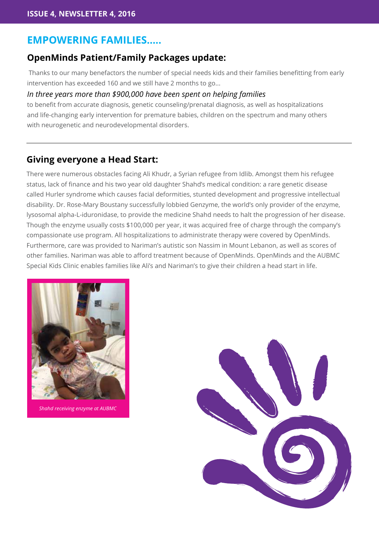# **Empowering families…..**

### **OpenMinds Patient/Family Packages update:**

 Thanks to our many benefactors the number of special needs kids and their families benefitting from early intervention has exceeded 160 and we still have 2 months to go...

#### *In three years more than \$900,000 have been spent on helping families*

to benefit from accurate diagnosis, genetic counseling/prenatal diagnosis, as well as hospitalizations and life-changing early intervention for premature babies, children on the spectrum and many others with neurogenetic and neurodevelopmental disorders.

### **Giving everyone a Head Start:**

There were numerous obstacles facing Ali Khudr, a Syrian refugee from Idlib. Amongst them his refugee status, lack of finance and his two year old daughter Shahd's medical condition: a rare genetic disease called Hurler syndrome which causes facial deformities, stunted development and progressive intellectual disability. Dr. Rose-Mary Boustany successfully lobbied Genzyme, the world's only provider of the enzyme, lysosomal alpha-L-iduronidase, to provide the medicine Shahd needs to halt the progression of her disease. Though the enzyme usually costs \$100,000 per year, it was acquired free of charge through the company's compassionate use program. All hospitalizations to administrate therapy were covered by OpenMinds. Furthermore, care was provided to Nariman's autistic son Nassim in Mount Lebanon, as well as scores of other families. Nariman was able to afford treatment because of OpenMinds. OpenMinds and the AUBMC Special Kids Clinic enables families like Ali's and Nariman's to give their children a head start in life.



*Shahd receiving enzyme at AUBMC*

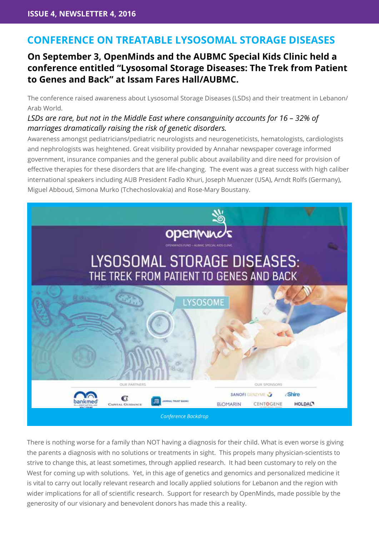# **Conference on treatable Lysosomal Storage Diseases**

# **On September 3, OpenMinds and the AUBMC Special Kids Clinic held a conference entitled "Lysosomal Storage Diseases: The Trek from Patient to Genes and Back" at Issam Fares Hall/AUBMC.**

The conference raised awareness about Lysosomal Storage Diseases (LSDs) and their treatment in Lebanon/ Arab World.

### *LSDs are rare, but not in the Middle East where consanguinity accounts for 16 – 32% of marriages dramatically raising the risk of genetic disorders.*

Awareness amongst pediatricians/pediatric neurologists and neurogeneticists, hematologists, cardiologists and nephrologists was heightened. Great visibility provided by Annahar newspaper coverage informed government, insurance companies and the general public about availability and dire need for provision of effective therapies for these disorders that are life-changing. The event was a great success with high caliber international speakers including AUB President Fadlo Khuri, Joseph Muenzer (USA), Arndt Rolfs (Germany), Miguel Abboud, Simona Murko (Tchechoslovakia) and Rose-Mary Boustany.



There is nothing worse for a family than NOT having a diagnosis for their child. What is even worse is giving the parents a diagnosis with no solutions or treatments in sight. This propels many physician-scientists to strive to change this, at least sometimes, through applied research. It had been customary to rely on the West for coming up with solutions. Yet, in this age of genetics and genomics and personalized medicine it is vital to carry out locally relevant research and locally applied solutions for Lebanon and the region with wider implications for all of scientific research. Support for research by OpenMinds, made possible by the generosity of our visionary and benevolent donors has made this a reality.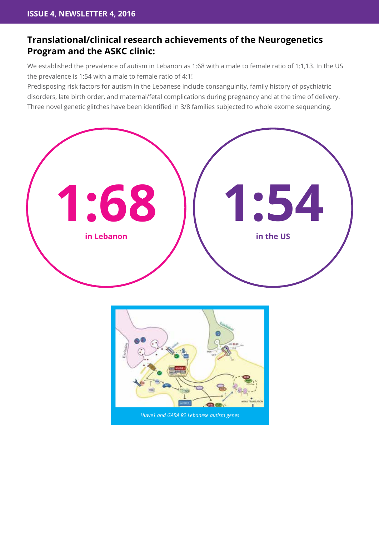# **Translational/clinical research achievements of the Neurogenetics Program and the ASKC clinic:**

We established the prevalence of autism in Lebanon as 1:68 with a male to female ratio of 1:1,13. In the US the prevalence is 1:54 with a male to female ratio of 4:1!

Predisposing risk factors for autism in the Lebanese include consanguinity, family history of psychiatric disorders, late birth order, and maternal/fetal complications during pregnancy and at the time of delivery. Three novel genetic glitches have been identified in 3/8 families subjected to whole exome sequencing.

![](_page_5_Figure_4.jpeg)

![](_page_5_Figure_5.jpeg)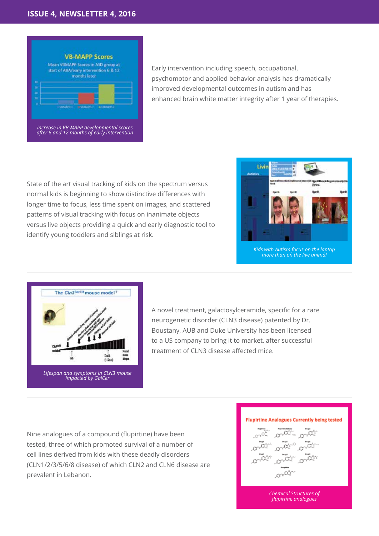#### **Issue 4, Newsletter 4, 2016**

![](_page_6_Figure_1.jpeg)

Early intervention including speech, occupational, psychomotor and applied behavior analysis has dramatically improved developmental outcomes in autism and has enhanced brain white matter integrity after 1 year of therapies.

State of the art visual tracking of kids on the spectrum versus normal kids is beginning to show distinctive differences with longer time to focus, less time spent on images, and scattered patterns of visual tracking with focus on inanimate objects versus live objects providing a quick and early diagnostic tool to identify young toddlers and siblings at risk.

![](_page_6_Picture_4.jpeg)

*Kids with Autism focus on the laptop more than on the live animal*

![](_page_6_Figure_6.jpeg)

A novel treatment, galactosylceramide, specific for a rare neurogenetic disorder (CLN3 disease) patented by Dr. Boustany, AUB and Duke University has been licensed to a US company to bring it to market, after successful treatment of CLN3 disease affected mice.

Nine analogues of a compound (flupirtine) have been tested, three of which promoted survival of a number of cell lines derived from kids with these deadly disorders (CLN1/2/3/5/6/8 disease) of which CLN2 and CLN6 disease are prevalent in Lebanon.

#### **Flupirtine Analogues Currently being tested**

$$
\frac{1}{2} \sum_{k=0}^{\infty} \frac{1}{2} \sum_{k=0}^{\infty} \frac{1}{2} \sum_{k=0}^{\infty} \frac{1}{2} \sum_{k=0}^{\infty} \frac{1}{2} \sum_{k=0}^{\infty} \frac{1}{2} \sum_{k=0}^{\infty} \frac{1}{2} \sum_{k=0}^{\infty} \frac{1}{2} \sum_{k=0}^{\infty} \frac{1}{2} \sum_{k=0}^{\infty} \frac{1}{2} \sum_{k=0}^{\infty} \frac{1}{2} \sum_{k=0}^{\infty} \frac{1}{2} \sum_{k=0}^{\infty} \frac{1}{2} \sum_{k=0}^{\infty} \frac{1}{2} \sum_{k=0}^{\infty} \frac{1}{2} \sum_{k=0}^{\infty} \frac{1}{2} \sum_{k=0}^{\infty} \frac{1}{2} \sum_{k=0}^{\infty} \frac{1}{2} \sum_{k=0}^{\infty} \frac{1}{2} \sum_{k=0}^{\infty} \frac{1}{2} \sum_{k=0}^{\infty} \frac{1}{2} \sum_{k=0}^{\infty} \frac{1}{2} \sum_{k=0}^{\infty} \frac{1}{2} \sum_{k=0}^{\infty} \frac{1}{2} \sum_{k=0}^{\infty} \frac{1}{2} \sum_{k=0}^{\infty} \frac{1}{2} \sum_{k=0}^{\infty} \frac{1}{2} \sum_{k=0}^{\infty} \frac{1}{2} \sum_{k=0}^{\infty} \frac{1}{2} \sum_{k=0}^{\infty} \frac{1}{2} \sum_{k=0}^{\infty} \frac{1}{2} \sum_{k=0}^{\infty} \frac{1}{2} \sum_{k=0}^{\infty} \frac{1}{2} \sum_{k=0}^{\infty} \frac{1}{2} \sum_{k=0}^{\infty} \frac{1}{2} \sum_{k=0}^{\infty} \frac{1}{2} \sum_{k=0}^{\infty} \frac{1}{2} \sum_{k=0}^{\infty} \frac{1}{2} \sum_{k=0}^{\infty} \frac{1}{2} \sum_{k=0}^{\infty} \frac{1}{2} \sum_{k=0}^{\infty}
$$

*Chemical Structures of flupirtine analogues*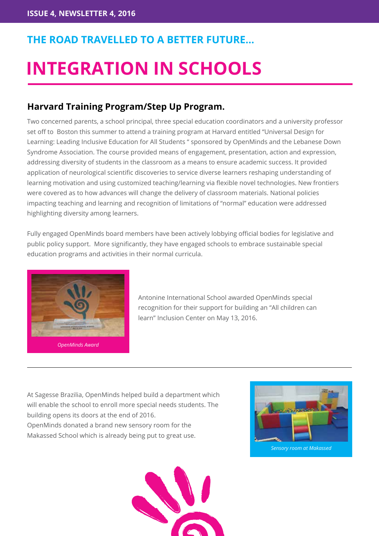# **The road travelled to a better future…**

# **Integration in Schools**

# **Harvard Training Program/Step Up Program.**

Two concerned parents, a school principal, three special education coordinators and a university professor set off to Boston this summer to attend a training program at Harvard entitled "Universal Design for Learning: Leading Inclusive Education for All Students " sponsored by OpenMinds and the Lebanese Down Syndrome Association. The course provided means of engagement, presentation, action and expression, addressing diversity of students in the classroom as a means to ensure academic success. It provided application of neurological scientific discoveries to service diverse learners reshaping understanding of learning motivation and using customized teaching/learning via flexible novel technologies. New frontiers were covered as to how advances will change the delivery of classroom materials. National policies impacting teaching and learning and recognition of limitations of "normal" education were addressed highlighting diversity among learners.

Fully engaged OpenMinds board members have been actively lobbying official bodies for legislative and public policy support. More significantly, they have engaged schools to embrace sustainable special education programs and activities in their normal curricula.

![](_page_7_Picture_6.jpeg)

*OpenMinds Award*

Antonine International School awarded OpenMinds special recognition for their support for building an "All children can learn" Inclusion Center on May 13, 2016.

At Sagesse Brazilia, OpenMinds helped build a department which will enable the school to enroll more special needs students. The building opens its doors at the end of 2016. OpenMinds donated a brand new sensory room for the Makassed School which is already being put to great use.

![](_page_7_Picture_10.jpeg)

![](_page_7_Picture_11.jpeg)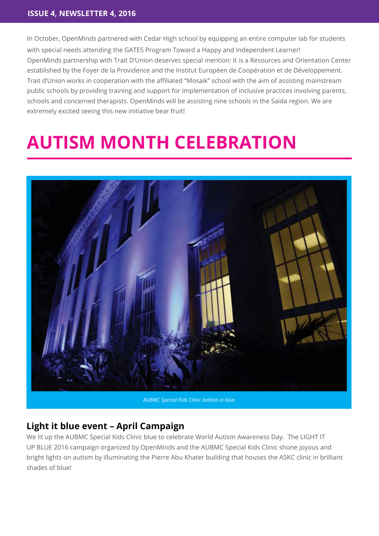In October, OpenMinds partnered with Cedar High school by equipping an entire computer lab for students with special needs attending the GATES Program Toward a Happy and Independent Learner! OpenMinds partnership with Trait D'Union deserves special mention: It is a Resources and Orientation Center established by the Foyer de la Providence and the Institut Européen de Coopération et de Développement. Trait d'Union works in cooperation with the affiliated "Mosaik" school with the aim of assisting mainstream public schools by providing training and support for implementation of inclusive practices involving parents, schools and concerned therapists. OpenMinds will be assisting nine schools in the Saida region. We are extremely excited seeing this new initiative bear fruit!

# **autism month celebration**

![](_page_8_Picture_3.jpeg)

*AUBMC Special Kids Clinic bathed in blue*

# **Light it blue event – April Campaign**

We lit up the AUBMC Special Kids Clinic blue to celebrate World Autism Awareness Day. The LIGHT IT UP BLUE 2016 campaign organized by OpenMinds and the AUBMC Special Kids Clinic shone joyous and bright lights on autism by illuminating the Pierre Abu Khater building that houses the ASKC clinic in brilliant shades of blue!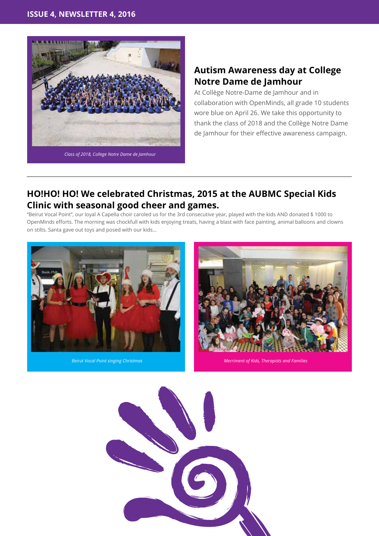![](_page_9_Picture_1.jpeg)

### **Autism Awareness day at College Notre Dame de Jamhour**

At Collège Notre-Dame de Jamhour and in collaboration with OpenMinds, all grade 10 students wore blue on April 26. We take this opportunity to thank the class of 2018 and the Collège Notre Dame de Jamhour for their effective awareness campaign.

# **HO!HO! HO! We celebrated Christmas, 2015 at the AUBMC Special Kids Clinic with seasonal good cheer and games.**

"Beirut Vocal Point", our loyal A Capella choir caroled us for the 3rd consecutive year, played with the kids AND donated \$ 1000 to OpenMinds efforts. The morning was chockfull with kids enjoying treats, having a blast with face painting, animal balloons and clowns on stilts. Santa gave out toys and posed with our kids…

![](_page_9_Picture_6.jpeg)

![](_page_9_Picture_8.jpeg)

*Beirut Vocal Point singing Christmas Merriment of Kids, Therapists and Families* 

![](_page_9_Picture_10.jpeg)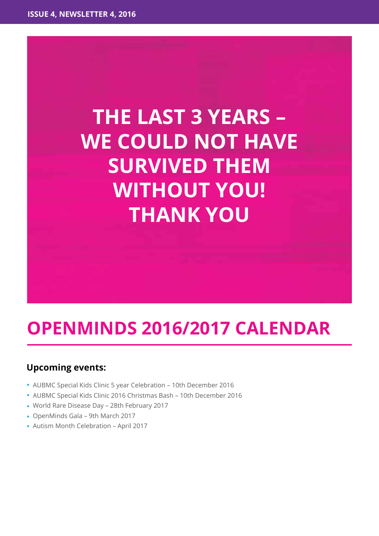# **The last 3 years – WE COULD NOT HAVE survived them without you! THANK YOU**

# **OpenMinds 2016/2017 Calendar**

## **Upcoming events:**

- AUBMC Special Kids Clinic 5 year Celebration 10th December 2016
- AUBMC Special Kids Clinic 2016 Christmas Bash 10th December 2016
- World Rare Disease Day 28th February 2017
- OpenMinds Gala 9th March 2017
- Autism Month Celebration April 2017